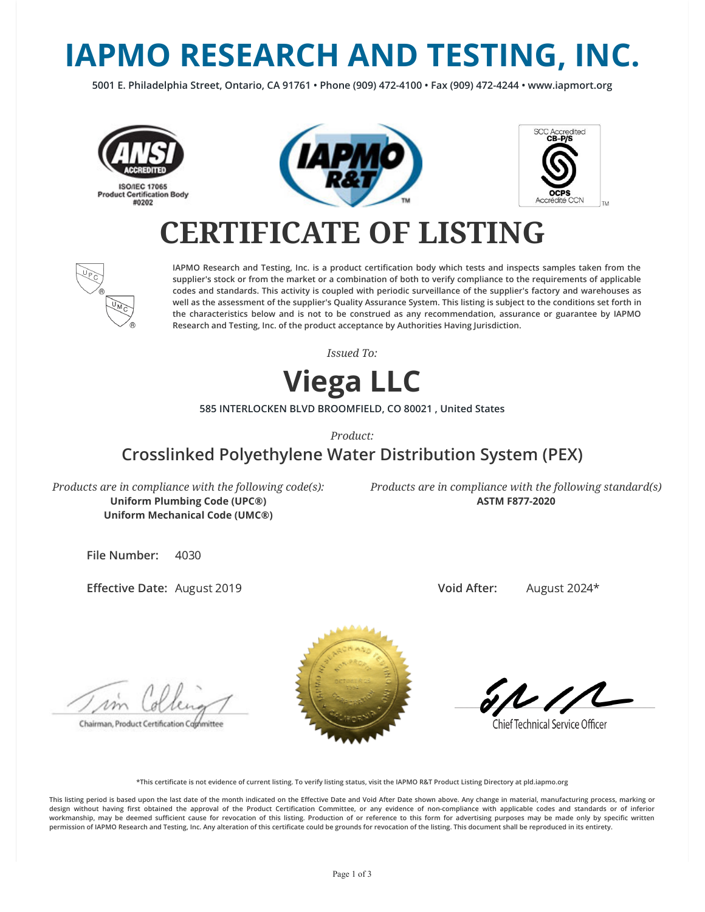# **IAPMO RESEARCH AND TESTING, INC.**

**5001 E. Philadelphia Street, Ontario, CA 91761 • Phone (909) 472-4100 • Fax (909) 472-4244 • www.iapmort.org**







## **CERTIFICATE OF LISTING**



**IAPMO Research and Testing, Inc. is a product certication body which tests and inspects samples taken from the supplier's stock or from the market or a combination of both to verify compliance to the requirements of applicable codes and standards. This activity is coupled with periodic surveillance of the supplier's factory and warehouses as well as the assessment of the supplier's Quality Assurance System. This listing is subject to the conditions set forth in the characteristics below and is not to be construed as any recommendation, assurance or guarantee by IAPMO Research and Testing, Inc. of the product acceptance by Authorities Having Jurisdiction.**

*Issued To:*

### **Viega LLC**

**585 INTERLOCKEN BLVD BROOMFIELD, CO 80021 , United States**

*Product:*

### **Crosslinked Polyethylene Water Distribution System (PEX)**

*Products are in compliance with the following code(s):* **Uniform Plumbing Code (UPC®) Uniform Mechanical Code (UMC®)**

*Products are in compliance with the following standard(s)* **ASTM F877-2020**

**File Number:** 4030

**Effective Date: August 2019** 

**Void After:** August 2024\*

Chairman, Product Certification Cophmittee



**Chief Technical Service Officer** 

**\*This certicate is not evidence of current listing. To verify listing status, visit the IAPMO R&T Product Listing Directory at pld.iapmo.org**

This listing period is based upon the last date of the month indicated on the Effective Date and Void After Date shown above. Any change in material, manufacturing process, marking or design without having first obtained the approval of the Product Certification Committee, or any evidence of non-compliance with applicable codes and standards or of inferior workmanship, may be deemed sufficient cause for revocation of this listing. Production of or reference to this form for advertising purposes may be made only by specific written **permission of IAPMO Research and Testing, Inc. Any alteration of this certicate could be grounds for revocation of the listing. This document shall be reproduced in its entirety.**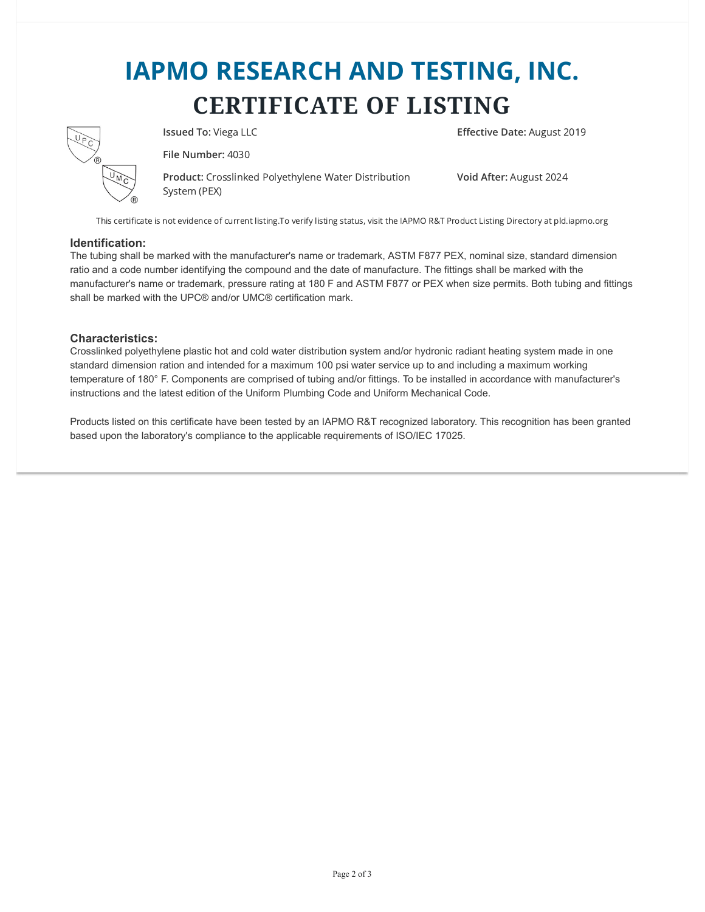## **IAPMO RESEARCH AND TESTING, INC. CERTIFICATE OF LISTING**



**File Number:** 4030

**Product:** Crosslinked Polyethylene Water Distribution System (PEX)

**Issued To:** Viega LLC **Effective Date:** August 2019

**Void After:** August 2024

This certificate is not evidence of current listing.To verify listing status, visit the IAPMO R&T Product Listing Directory at pld.iapmo.org

#### **Identification:**

The tubing shall be marked with the manufacturer's name or trademark, ASTM F877 PEX, nominal size, standard dimension ratio and a code number identifying the compound and the date of manufacture. The fittings shall be marked with the manufacturer's name or trademark, pressure rating at 180 F and ASTM F877 or PEX when size permits. Both tubing and fittings shall be marked with the UPC® and/or UMC® certification mark.

#### **Characteristics:**

Crosslinked polyethylene plastic hot and cold water distribution system and/or hydronic radiant heating system made in one standard dimension ration and intended for a maximum 100 psi water service up to and including a maximum working temperature of 180° F. Components are comprised of tubing and/or fittings. To be installed in accordance with manufacturer's instructions and the latest edition of the Uniform Plumbing Code and Uniform Mechanical Code.

Products listed on this certificate have been tested by an IAPMO R&T recognized laboratory. This recognition has been granted based upon the laboratory's compliance to the applicable requirements of ISO/IEC 17025.